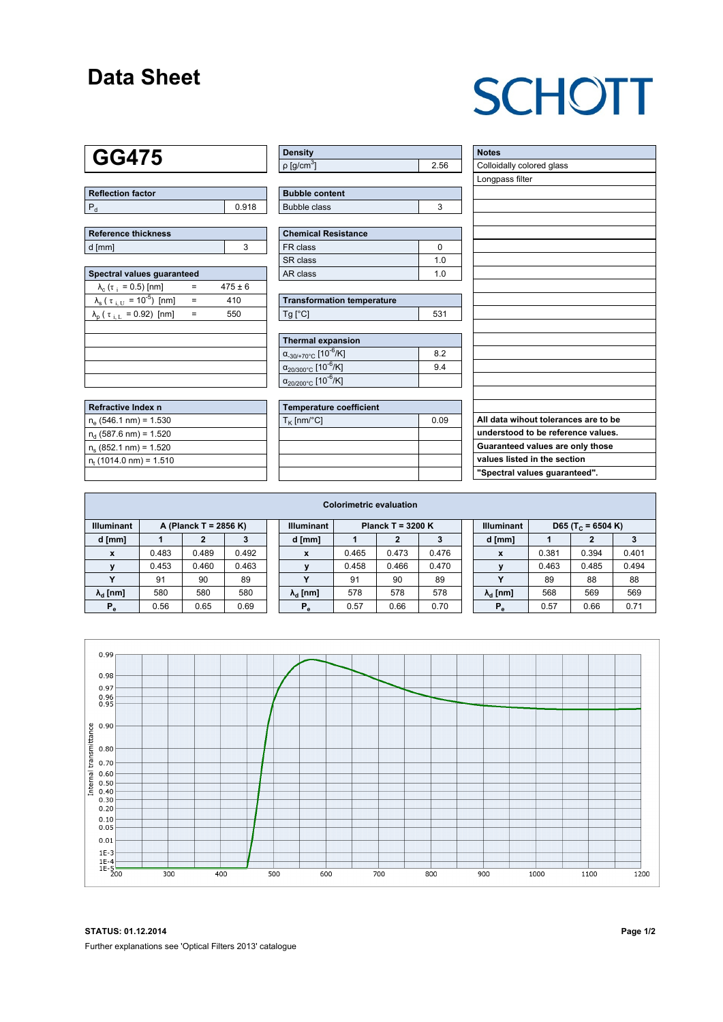### **Data Sheet**

# **SCHOTT**

### **GG475**

| Reflection factor |       |
|-------------------|-------|
|                   | 0.918 |

| Reference thickness |  |
|---------------------|--|
| d [mm]              |  |

| Spectral values quaranteed                                     |     |             |  |  |  |  |  |  |  |
|----------------------------------------------------------------|-----|-------------|--|--|--|--|--|--|--|
| $\lambda_c$ ( $\tau_i$ = 0.5) [nm]                             |     | $475 \pm 6$ |  |  |  |  |  |  |  |
| $\lambda_{\rm s}$ ( $\tau_{\rm i,U}$ = 10 <sup>-5</sup> ) [nm] | $=$ | 410         |  |  |  |  |  |  |  |
| $\lambda_{\rm p}$ ( $\tau_{\rm i, L}$ = 0.92) [nm]             |     | 550         |  |  |  |  |  |  |  |
|                                                                |     |             |  |  |  |  |  |  |  |
|                                                                |     |             |  |  |  |  |  |  |  |
|                                                                |     |             |  |  |  |  |  |  |  |
|                                                                |     |             |  |  |  |  |  |  |  |
|                                                                |     |             |  |  |  |  |  |  |  |

| Refractive Index n          |  |
|-----------------------------|--|
| $n_e$ (546.1 nm) = 1.530    |  |
| $n_d$ (587.6 nm) = 1.520    |  |
| $n_e$ (852.1 nm) = 1.520    |  |
| $n_{t}$ (1014.0 nm) = 1.510 |  |
|                             |  |

| <b>Density</b>              |  |
|-----------------------------|--|
| $\rho$ [g/cm <sup>3</sup> ] |  |

| <b>Bubble content</b> |  |
|-----------------------|--|
| Bubble class          |  |

| <b>Chemical Resistance</b> |     |  |  |  |  |  |
|----------------------------|-----|--|--|--|--|--|
| FR class                   |     |  |  |  |  |  |
| l SR class                 | 1 N |  |  |  |  |  |
| l AR class                 | 1 በ |  |  |  |  |  |

| <b>Transformation temperature</b> |     |
|-----------------------------------|-----|
| $Ta$ $C1$                         | 531 |

| Thermal expansion                                 |     |
|---------------------------------------------------|-----|
| $\alpha_{.30/+70\degree}$ C [10 <sup>-6</sup> /K] | 82  |
| $\alpha_{20/300^{\circ}C}$ [10 <sup>-6</sup> /K]  | 9.4 |
| $\alpha_{20/200^{\circ}C}$ [10 <sup>-6</sup> /K]  |     |

| Temperature coefficient |      |
|-------------------------|------|
| $T_{\rm K}$ [nm/°C]     | 0.09 |
|                         |      |
|                         |      |
|                         |      |
|                         |      |

| <b>Notes</b>                         |
|--------------------------------------|
| Colloidally colored glass            |
| Longpass filter                      |
|                                      |
|                                      |
|                                      |
|                                      |
|                                      |
|                                      |
|                                      |
|                                      |
|                                      |
|                                      |
|                                      |
|                                      |
|                                      |
|                                      |
|                                      |
|                                      |
|                                      |
| All data wihout tolerances are to be |
| understood to be reference values.   |
| Guaranteed values are only those     |
| values listed in the section         |
| "Spectral values guaranteed".        |

| <b>Illuminant</b><br><b>Illuminant</b><br><b>Illuminant</b><br>A (Planck T = 2856 K)<br>Planck T = $3200 K$<br>D65 (T <sub>c</sub> = 6504 K)<br>d [mm]<br>d [mm]<br>d [mm]<br>2<br>0.492<br>0.483<br>0.489<br>0.465<br>0.473<br>0.476<br>0.381<br>0.394<br>x<br>X<br>X<br>0.453<br>0.460<br>0.463<br>0.466<br>0.470<br>0.463<br>0.458<br>0.485<br>$\mathbf{v}$<br>$\mathbf{v}$ |  | <b>Colorimetric evaluation</b> |  |  |  |  |  |  |  |  |  |  |  |       |
|--------------------------------------------------------------------------------------------------------------------------------------------------------------------------------------------------------------------------------------------------------------------------------------------------------------------------------------------------------------------------------|--|--------------------------------|--|--|--|--|--|--|--|--|--|--|--|-------|
|                                                                                                                                                                                                                                                                                                                                                                                |  |                                |  |  |  |  |  |  |  |  |  |  |  |       |
|                                                                                                                                                                                                                                                                                                                                                                                |  |                                |  |  |  |  |  |  |  |  |  |  |  |       |
|                                                                                                                                                                                                                                                                                                                                                                                |  |                                |  |  |  |  |  |  |  |  |  |  |  | 0.401 |
|                                                                                                                                                                                                                                                                                                                                                                                |  |                                |  |  |  |  |  |  |  |  |  |  |  | 0.494 |
| 90<br>89<br>91<br>89<br>91<br>$\overline{\phantom{a}}$<br>90<br>$\cdot$<br>89<br>88                                                                                                                                                                                                                                                                                            |  |                                |  |  |  |  |  |  |  |  |  |  |  | 88    |
| 580<br>578<br>580<br>580<br>578<br>568<br>$\lambda_{\rm d}$ [nm]<br>578<br>569<br>$\lambda_{\rm d}$ [nm]<br>$\lambda_{\rm d}$ [nm]                                                                                                                                                                                                                                             |  |                                |  |  |  |  |  |  |  |  |  |  |  | 569   |
| 0.57<br>0.56<br>0.65<br>0.69<br>0.66<br>0.70<br>0.57<br>0.66<br>$P_{\alpha}$<br>$P_e$<br>$P_e$                                                                                                                                                                                                                                                                                 |  |                                |  |  |  |  |  |  |  |  |  |  |  | 0.71  |



**STATUS: 01.12.2014 Page 1/2** Further explanations see 'Optical Filters 2013' catalogue